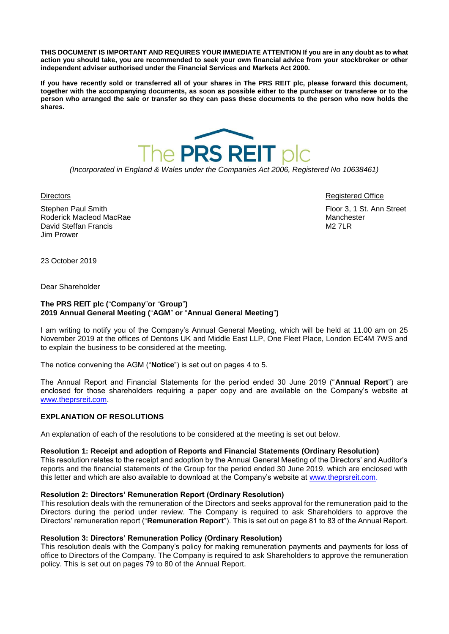**THIS DOCUMENT IS IMPORTANT AND REQUIRES YOUR IMMEDIATE ATTENTION If you are in any doubt as to what action you should take, you are recommended to seek your own financial advice from your stockbroker or other independent adviser authorised under the Financial Services and Markets Act 2000.**

**If you have recently sold or transferred all of your shares in The PRS REIT plc, please forward this document, together with the accompanying documents, as soon as possible either to the purchaser or transferee or to the person who arranged the sale or transfer so they can pass these documents to the person who now holds the shares.**



*(Incorporated in England & Wales under the Companies Act 2006, Registered No 10638461)*

Stephen Paul Smith **Floor 3, 1 St. Ann Street** Roderick Macleod MacRae Manchester Manchester Manchester Manchester David Steffan Francis M2 7LR Jim Prower

Directors Registered Office

23 October 2019

Dear Shareholder

#### **The PRS REIT plc (**"**Company**"**or** "**Group**"**) 2019 Annual General Meeting (**"**AGM**" **or** "**Annual General Meeting**"**)**

I am writing to notify you of the Company's Annual General Meeting, which will be held at 11.00 am on 25 November 2019 at the offices of Dentons UK and Middle East LLP, One Fleet Place, London EC4M 7WS and to explain the business to be considered at the meeting.

The notice convening the AGM ("**Notice**") is set out on pages 4 to 5.

The Annual Report and Financial Statements for the period ended 30 June 2019 ("**Annual Report**") are enclosed for those shareholders requiring a paper copy and are available on the Company's website at [www.theprsreit.com.](http://www.theprsreit.com/)

## **EXPLANATION OF RESOLUTIONS**

An explanation of each of the resolutions to be considered at the meeting is set out below.

#### **Resolution 1: Receipt and adoption of Reports and Financial Statements (Ordinary Resolution)**

This resolution relates to the receipt and adoption by the Annual General Meeting of the Directors' and Auditor's reports and the financial statements of the Group for the period ended 30 June 2019, which are enclosed with this letter and which are also available to download at the Company's website at [www.theprsreit.com.](http://www.theprsreit.com/)

#### **Resolution 2: Directors' Remuneration Report (Ordinary Resolution)**

This resolution deals with the remuneration of the Directors and seeks approval for the remuneration paid to the Directors during the period under review. The Company is required to ask Shareholders to approve the Directors' remuneration report ("**Remuneration Report**"). This is set out on page 81 to 83 of the Annual Report.

#### **Resolution 3: Directors' Remuneration Policy (Ordinary Resolution)**

This resolution deals with the Company's policy for making remuneration payments and payments for loss of office to Directors of the Company. The Company is required to ask Shareholders to approve the remuneration policy. This is set out on pages 79 to 80 of the Annual Report.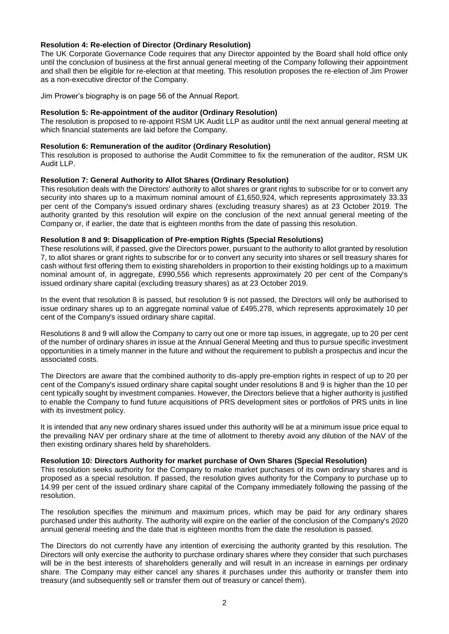## **Resolution 4: Re-election of Director (Ordinary Resolution)**

The UK Corporate Governance Code requires that any Director appointed by the Board shall hold office only until the conclusion of business at the first annual general meeting of the Company following their appointment and shall then be eligible for re-election at that meeting. This resolution proposes the re-election of Jim Prower as a non-executive director of the Company.

Jim Prower's biography is on page 56 of the Annual Report.

## **Resolution 5: Re-appointment of the auditor (Ordinary Resolution)**

The resolution is proposed to re-appoint RSM UK Audit LLP as auditor until the next annual general meeting at which financial statements are laid before the Company.

# **Resolution 6: Remuneration of the auditor (Ordinary Resolution)**

This resolution is proposed to authorise the Audit Committee to fix the remuneration of the auditor, RSM UK Audit LLP.

## **Resolution 7: General Authority to Allot Shares (Ordinary Resolution)**

This resolution deals with the Directors' authority to allot shares or grant rights to subscribe for or to convert any security into shares up to a maximum nominal amount of £1,650,924, which represents approximately 33.33 per cent of the Company's issued ordinary shares (excluding treasury shares) as at 23 October 2019. The authority granted by this resolution will expire on the conclusion of the next annual general meeting of the Company or, if earlier, the date that is eighteen months from the date of passing this resolution.

## **Resolution 8 and 9: Disapplication of Pre-emption Rights (Special Resolutions)**

These resolutions will, if passed, give the Directors power, pursuant to the authority to allot granted by resolution 7, to allot shares or grant rights to subscribe for or to convert any security into shares or sell treasury shares for cash without first offering them to existing shareholders in proportion to their existing holdings up to a maximum nominal amount of, in aggregate, £990,556 which represents approximately 20 per cent of the Company's issued ordinary share capital (excluding treasury shares) as at 23 October 2019.

In the event that resolution 8 is passed, but resolution 9 is not passed, the Directors will only be authorised to issue ordinary shares up to an aggregate nominal value of £495,278, which represents approximately 10 per cent of the Company's issued ordinary share capital.

Resolutions 8 and 9 will allow the Company to carry out one or more tap issues, in aggregate, up to 20 per cent of the number of ordinary shares in issue at the Annual General Meeting and thus to pursue specific investment opportunities in a timely manner in the future and without the requirement to publish a prospectus and incur the associated costs.

The Directors are aware that the combined authority to dis-apply pre-emption rights in respect of up to 20 per cent of the Company's issued ordinary share capital sought under resolutions 8 and 9 is higher than the 10 per cent typically sought by investment companies. However, the Directors believe that a higher authority is justified to enable the Company to fund future acquisitions of PRS development sites or portfolios of PRS units in line with its investment policy.

It is intended that any new ordinary shares issued under this authority will be at a minimum issue price equal to the prevailing NAV per ordinary share at the time of allotment to thereby avoid any dilution of the NAV of the then existing ordinary shares held by shareholders.

#### **Resolution 10: Directors Authority for market purchase of Own Shares (Special Resolution)**

This resolution seeks authority for the Company to make market purchases of its own ordinary shares and is proposed as a special resolution. If passed, the resolution gives authority for the Company to purchase up to 14.99 per cent of the issued ordinary share capital of the Company immediately following the passing of the resolution.

The resolution specifies the minimum and maximum prices, which may be paid for any ordinary shares purchased under this authority. The authority will expire on the earlier of the conclusion of the Company's 2020 annual general meeting and the date that is eighteen months from the date the resolution is passed.

The Directors do not currently have any intention of exercising the authority granted by this resolution. The Directors will only exercise the authority to purchase ordinary shares where they consider that such purchases will be in the best interests of shareholders generally and will result in an increase in earnings per ordinary share. The Company may either cancel any shares it purchases under this authority or transfer them into treasury (and subsequently sell or transfer them out of treasury or cancel them).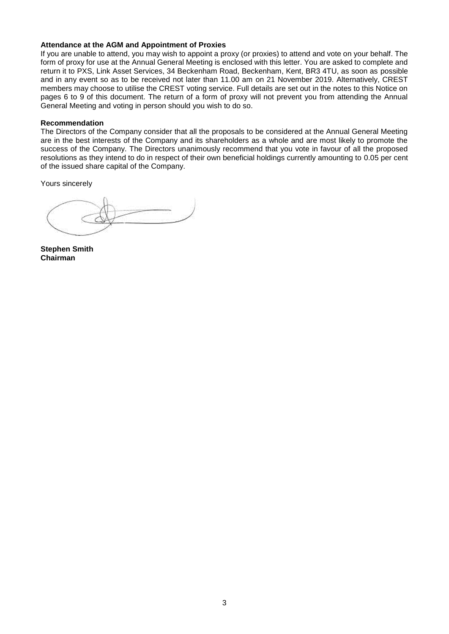## **Attendance at the AGM and Appointment of Proxies**

If you are unable to attend, you may wish to appoint a proxy (or proxies) to attend and vote on your behalf. The form of proxy for use at the Annual General Meeting is enclosed with this letter. You are asked to complete and return it to PXS, Link Asset Services, 34 Beckenham Road, Beckenham, Kent, BR3 4TU, as soon as possible and in any event so as to be received not later than 11.00 am on 21 November 2019. Alternatively, CREST members may choose to utilise the CREST voting service. Full details are set out in the notes to this Notice on pages 6 to 9 of this document. The return of a form of proxy will not prevent you from attending the Annual General Meeting and voting in person should you wish to do so.

#### **Recommendation**

The Directors of the Company consider that all the proposals to be considered at the Annual General Meeting are in the best interests of the Company and its shareholders as a whole and are most likely to promote the success of the Company. The Directors unanimously recommend that you vote in favour of all the proposed resolutions as they intend to do in respect of their own beneficial holdings currently amounting to 0.05 per cent of the issued share capital of the Company.

Yours sincerely

**Stephen Smith Chairman**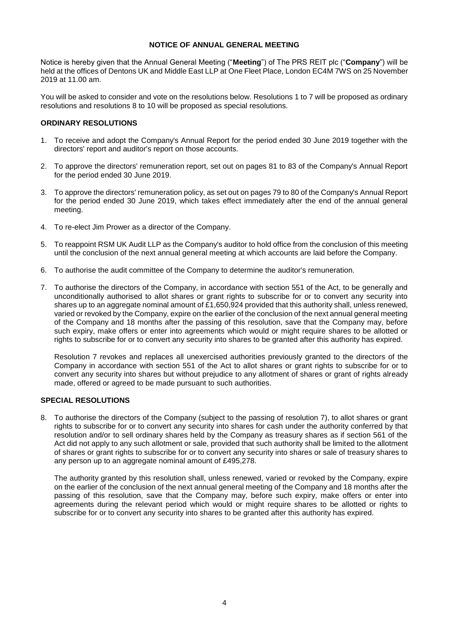## **NOTICE OF ANNUAL GENERAL MEETING**

Notice is hereby given that the Annual General Meeting ("**Meeting**") of The PRS REIT plc ("**Company**") will be held at the offices of Dentons UK and Middle East LLP at One Fleet Place, London EC4M 7WS on 25 November 2019 at 11.00 am.

You will be asked to consider and vote on the resolutions below. Resolutions 1 to 7 will be proposed as ordinary resolutions and resolutions 8 to 10 will be proposed as special resolutions.

## **ORDINARY RESOLUTIONS**

- 1. To receive and adopt the Company's Annual Report for the period ended 30 June 2019 together with the directors' report and auditor's report on those accounts.
- 2. To approve the directors' remuneration report, set out on pages 81 to 83 of the Company's Annual Report for the period ended 30 June 2019.
- 3. To approve the directors' remuneration policy, as set out on pages 79 to 80 of the Company's Annual Report for the period ended 30 June 2019, which takes effect immediately after the end of the annual general meeting.
- 4. To re-elect Jim Prower as a director of the Company.
- 5. To reappoint RSM UK Audit LLP as the Company's auditor to hold office from the conclusion of this meeting until the conclusion of the next annual general meeting at which accounts are laid before the Company.
- 6. To authorise the audit committee of the Company to determine the auditor's remuneration.
- 7. To authorise the directors of the Company, in accordance with section 551 of the Act, to be generally and unconditionally authorised to allot shares or grant rights to subscribe for or to convert any security into shares up to an aggregate nominal amount of £1,650,924 provided that this authority shall, unless renewed, varied or revoked by the Company, expire on the earlier of the conclusion of the next annual general meeting of the Company and 18 months after the passing of this resolution, save that the Company may, before such expiry, make offers or enter into agreements which would or might require shares to be allotted or rights to subscribe for or to convert any security into shares to be granted after this authority has expired.

Resolution 7 revokes and replaces all unexercised authorities previously granted to the directors of the Company in accordance with section 551 of the Act to allot shares or grant rights to subscribe for or to convert any security into shares but without prejudice to any allotment of shares or grant of rights already made, offered or agreed to be made pursuant to such authorities.

#### **SPECIAL RESOLUTIONS**

8. To authorise the directors of the Company (subject to the passing of resolution 7), to allot shares or grant rights to subscribe for or to convert any security into shares for cash under the authority conferred by that resolution and/or to sell ordinary shares held by the Company as treasury shares as if section 561 of the Act did not apply to any such allotment or sale, provided that such authority shall be limited to the allotment of shares or grant rights to subscribe for or to convert any security into shares or sale of treasury shares to any person up to an aggregate nominal amount of £495,278.

The authority granted by this resolution shall, unless renewed, varied or revoked by the Company, expire on the earlier of the conclusion of the next annual general meeting of the Company and 18 months after the passing of this resolution, save that the Company may, before such expiry, make offers or enter into agreements during the relevant period which would or might require shares to be allotted or rights to subscribe for or to convert any security into shares to be granted after this authority has expired.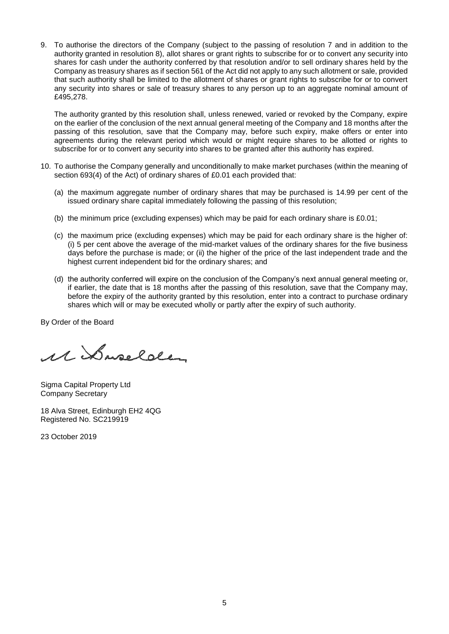9. To authorise the directors of the Company (subject to the passing of resolution 7 and in addition to the authority granted in resolution 8), allot shares or grant rights to subscribe for or to convert any security into shares for cash under the authority conferred by that resolution and/or to sell ordinary shares held by the Company as treasury shares as if section 561 of the Act did not apply to any such allotment or sale, provided that such authority shall be limited to the allotment of shares or grant rights to subscribe for or to convert any security into shares or sale of treasury shares to any person up to an aggregate nominal amount of £495,278.

The authority granted by this resolution shall, unless renewed, varied or revoked by the Company, expire on the earlier of the conclusion of the next annual general meeting of the Company and 18 months after the passing of this resolution, save that the Company may, before such expiry, make offers or enter into agreements during the relevant period which would or might require shares to be allotted or rights to subscribe for or to convert any security into shares to be granted after this authority has expired.

- 10. To authorise the Company generally and unconditionally to make market purchases (within the meaning of section 693(4) of the Act) of ordinary shares of £0.01 each provided that:
	- (a) the maximum aggregate number of ordinary shares that may be purchased is 14.99 per cent of the issued ordinary share capital immediately following the passing of this resolution;
	- (b) the minimum price (excluding expenses) which may be paid for each ordinary share is £0.01;
	- (c) the maximum price (excluding expenses) which may be paid for each ordinary share is the higher of: (i) 5 per cent above the average of the mid-market values of the ordinary shares for the five business days before the purchase is made; or (ii) the higher of the price of the last independent trade and the highest current independent bid for the ordinary shares; and
	- (d) the authority conferred will expire on the conclusion of the Company's next annual general meeting or, if earlier, the date that is 18 months after the passing of this resolution, save that the Company may, before the expiry of the authority granted by this resolution, enter into a contract to purchase ordinary shares which will or may be executed wholly or partly after the expiry of such authority.

By Order of the Board

M Daselder

Sigma Capital Property Ltd Company Secretary

18 Alva Street, Edinburgh EH2 4QG Registered No. SC219919

23 October 2019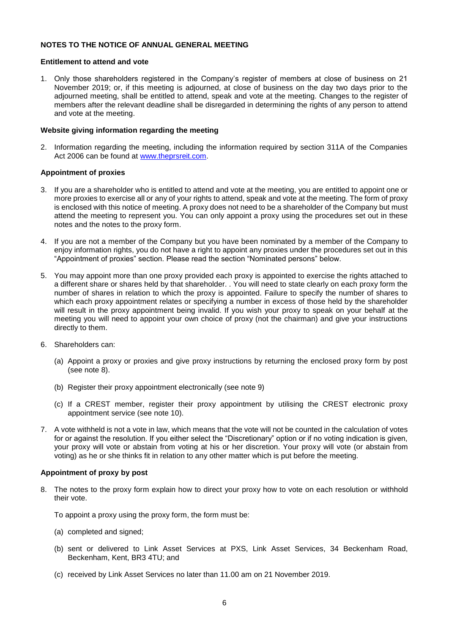## **NOTES TO THE NOTICE OF ANNUAL GENERAL MEETING**

## **Entitlement to attend and vote**

1. Only those shareholders registered in the Company's register of members at close of business on 21 November 2019; or, if this meeting is adjourned, at close of business on the day two days prior to the adjourned meeting, shall be entitled to attend, speak and vote at the meeting. Changes to the register of members after the relevant deadline shall be disregarded in determining the rights of any person to attend and vote at the meeting.

#### **Website giving information regarding the meeting**

2. Information regarding the meeting, including the information required by section 311A of the Companies Act 2006 can be found at [www.theprsreit.com.](http://www.theprsreit.com/)

## **Appointment of proxies**

- 3. If you are a shareholder who is entitled to attend and vote at the meeting, you are entitled to appoint one or more proxies to exercise all or any of your rights to attend, speak and vote at the meeting. The form of proxy is enclosed with this notice of meeting. A proxy does not need to be a shareholder of the Company but must attend the meeting to represent you. You can only appoint a proxy using the procedures set out in these notes and the notes to the proxy form.
- 4. If you are not a member of the Company but you have been nominated by a member of the Company to enjoy information rights, you do not have a right to appoint any proxies under the procedures set out in this "Appointment of proxies" section. Please read the section "Nominated persons" below.
- 5. You may appoint more than one proxy provided each proxy is appointed to exercise the rights attached to a different share or shares held by that shareholder. . You will need to state clearly on each proxy form the number of shares in relation to which the proxy is appointed. Failure to specify the number of shares to which each proxy appointment relates or specifying a number in excess of those held by the shareholder will result in the proxy appointment being invalid. If you wish your proxy to speak on your behalf at the meeting you will need to appoint your own choice of proxy (not the chairman) and give your instructions directly to them.
- 6. Shareholders can:
	- (a) Appoint a proxy or proxies and give proxy instructions by returning the enclosed proxy form by post (see note 8).
	- (b) Register their proxy appointment electronically (see note 9)
	- (c) If a CREST member, register their proxy appointment by utilising the CREST electronic proxy appointment service (see note 10).
- 7. A vote withheld is not a vote in law, which means that the vote will not be counted in the calculation of votes for or against the resolution. If you either select the "Discretionary" option or if no voting indication is given, your proxy will vote or abstain from voting at his or her discretion. Your proxy will vote (or abstain from voting) as he or she thinks fit in relation to any other matter which is put before the meeting.

#### **Appointment of proxy by post**

8. The notes to the proxy form explain how to direct your proxy how to vote on each resolution or withhold their vote.

To appoint a proxy using the proxy form, the form must be:

- (a) completed and signed;
- (b) sent or delivered to Link Asset Services at PXS, Link Asset Services, 34 Beckenham Road, Beckenham, Kent, BR3 4TU; and
- (c) received by Link Asset Services no later than 11.00 am on 21 November 2019.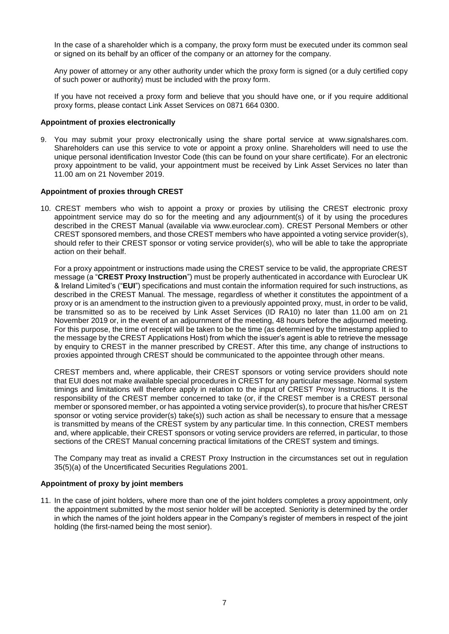In the case of a shareholder which is a company, the proxy form must be executed under its common seal or signed on its behalf by an officer of the company or an attorney for the company.

Any power of attorney or any other authority under which the proxy form is signed (or a duly certified copy of such power or authority) must be included with the proxy form.

If you have not received a proxy form and believe that you should have one, or if you require additional proxy forms, please contact Link Asset Services on 0871 664 0300.

#### **Appointment of proxies electronically**

9. You may submit your proxy electronically using the share portal service at [www.signalshares.com.](http://www.signalshares.com/) Shareholders can use this service to vote or appoint a proxy online. Shareholders will need to use the unique personal identification Investor Code (this can be found on your share certificate). For an electronic proxy appointment to be valid, your appointment must be received by Link Asset Services no later than 11.00 am on 21 November 2019.

## **Appointment of proxies through CREST**

10. CREST members who wish to appoint a proxy or proxies by utilising the CREST electronic proxy appointment service may do so for the meeting and any adjournment(s) of it by using the procedures described in the CREST Manual (available via www.euroclear.com). CREST Personal Members or other CREST sponsored members, and those CREST members who have appointed a voting service provider(s), should refer to their CREST sponsor or voting service provider(s), who will be able to take the appropriate action on their behalf.

For a proxy appointment or instructions made using the CREST service to be valid, the appropriate CREST message (a "**CREST Proxy Instruction**") must be properly authenticated in accordance with Euroclear UK & Ireland Limited's ("**EUI**") specifications and must contain the information required for such instructions, as described in the CREST Manual. The message, regardless of whether it constitutes the appointment of a proxy or is an amendment to the instruction given to a previously appointed proxy, must, in order to be valid, be transmitted so as to be received by Link Asset Services (ID RA10) no later than 11.00 am on 21 November 2019 or, in the event of an adjournment of the meeting, 48 hours before the adjourned meeting. For this purpose, the time of receipt will be taken to be the time (as determined by the timestamp applied to the message by the CREST Applications Host) from which the issuer's agent is able to retrieve the message by enquiry to CREST in the manner prescribed by CREST. After this time, any change of instructions to proxies appointed through CREST should be communicated to the appointee through other means.

CREST members and, where applicable, their CREST sponsors or voting service providers should note that EUI does not make available special procedures in CREST for any particular message. Normal system timings and limitations will therefore apply in relation to the input of CREST Proxy Instructions. It is the responsibility of the CREST member concerned to take (or, if the CREST member is a CREST personal member or sponsored member, or has appointed a voting service provider(s), to procure that his/her CREST sponsor or voting service provider(s) take(s)) such action as shall be necessary to ensure that a message is transmitted by means of the CREST system by any particular time. In this connection, CREST members and, where applicable, their CREST sponsors or voting service providers are referred, in particular, to those sections of the CREST Manual concerning practical limitations of the CREST system and timings.

The Company may treat as invalid a CREST Proxy Instruction in the circumstances set out in regulation 35(5)(a) of the Uncertificated Securities Regulations 2001.

#### **Appointment of proxy by joint members**

11. In the case of joint holders, where more than one of the joint holders completes a proxy appointment, only the appointment submitted by the most senior holder will be accepted. Seniority is determined by the order in which the names of the joint holders appear in the Company's register of members in respect of the joint holding (the first-named being the most senior).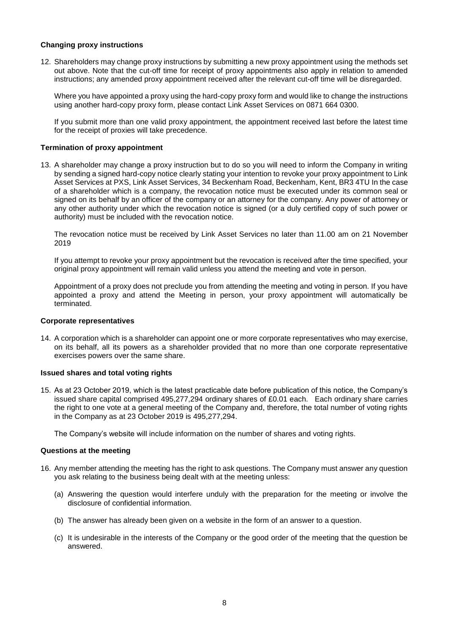## **Changing proxy instructions**

12. Shareholders may change proxy instructions by submitting a new proxy appointment using the methods set out above. Note that the cut-off time for receipt of proxy appointments also apply in relation to amended instructions; any amended proxy appointment received after the relevant cut-off time will be disregarded.

Where you have appointed a proxy using the hard-copy proxy form and would like to change the instructions using another hard-copy proxy form, please contact Link Asset Services on 0871 664 0300.

If you submit more than one valid proxy appointment, the appointment received last before the latest time for the receipt of proxies will take precedence.

#### **Termination of proxy appointment**

13. A shareholder may change a proxy instruction but to do so you will need to inform the Company in writing by sending a signed hard-copy notice clearly stating your intention to revoke your proxy appointment to Link Asset Services at PXS, Link Asset Services, 34 Beckenham Road, Beckenham, Kent, BR3 4TU In the case of a shareholder which is a company, the revocation notice must be executed under its common seal or signed on its behalf by an officer of the company or an attorney for the company. Any power of attorney or any other authority under which the revocation notice is signed (or a duly certified copy of such power or authority) must be included with the revocation notice.

The revocation notice must be received by Link Asset Services no later than 11.00 am on 21 November 2019

If you attempt to revoke your proxy appointment but the revocation is received after the time specified, your original proxy appointment will remain valid unless you attend the meeting and vote in person.

Appointment of a proxy does not preclude you from attending the meeting and voting in person. If you have appointed a proxy and attend the Meeting in person, your proxy appointment will automatically be terminated.

#### **Corporate representatives**

14. A corporation which is a shareholder can appoint one or more corporate representatives who may exercise, on its behalf, all its powers as a shareholder provided that no more than one corporate representative exercises powers over the same share.

#### **Issued shares and total voting rights**

15. As at 23 October 2019, which is the latest practicable date before publication of this notice, the Company's issued share capital comprised 495,277,294 ordinary shares of £0.01 each. Each ordinary share carries the right to one vote at a general meeting of the Company and, therefore, the total number of voting rights in the Company as at 23 October 2019 is 495,277,294.

The Company's website will include information on the number of shares and voting rights.

#### **Questions at the meeting**

- 16. Any member attending the meeting has the right to ask questions. The Company must answer any question you ask relating to the business being dealt with at the meeting unless:
	- (a) Answering the question would interfere unduly with the preparation for the meeting or involve the disclosure of confidential information.
	- (b) The answer has already been given on a website in the form of an answer to a question.
	- (c) It is undesirable in the interests of the Company or the good order of the meeting that the question be answered.